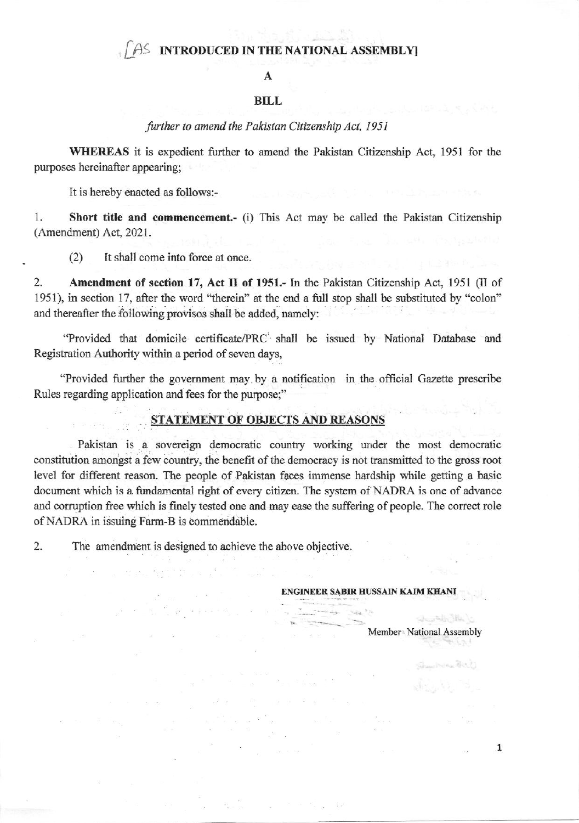### AS INTRODUCED IN THE NATIONAL ASSEMBLY

#### A

#### **BILL**

#### further to amend the Pakistan Citizenship Act, 1951

WHEREAS it is expedient further to amend the Pakistan Citizenship Act, 1951 for the purposes hereinafter appearing;

It is hereby enacted as follows:-

Short title and commencement.- (i) This Act may be called the Pakistan Citizenship 1. (Amendment) Act, 2021.

It shall come into force at once.  $(2)$ 

 $\overline{2}$ . Amendment of section 17, Act II of 1951.- In the Pakistan Citizenship Act, 1951 (II of 1951), in section 17, after the word "therein" at the end a full stop shall be substituted by "colon" and thereafter the following provisos shall be added, namely:

"Provided that domicile certificate/PRC shall be issued by National Database and Registration Authority within a period of seven days,

"Provided further the government may by a notification in the official Gazette prescribe Rules regarding application and fees for the purpose;"

# **STATEMENT OF OBJECTS AND REASONS**

Pakistan is a sovereign democratic country working under the most democratic constitution amongst a few country, the benefit of the democracy is not transmitted to the gross root level for different reason. The people of Pakistan faces immense hardship while getting a basic document which is a fundamental right of every citizen. The system of NADRA is one of advance and corruption free which is finely tested one and may ease the suffering of people. The correct role of NADRA in issuing Farm-B is commendable.

2. The amendment is designed to achieve the above objective.

 $\label{eq:3.1} \mathbf{a} \cdot \mathbf{g} \cdot \mathbf{g} \mathbf{a} = \mathbf{a} \cdot \mathbf{a} \cdot \mathbf{a} \cdot \mathbf{a}$ 

**SOFT** 

 $\mathcal{L}^{(0)} = \mathcal{L}^{(0)} \mathcal{L}^{(0)} \mathcal{L}^{(0)} \mathcal{L}^{(0)} \mathcal{L}^{(0)} \mathcal{L}^{(0)} \mathcal{L}^{(0)} \mathcal{L}^{(0)} \mathcal{L}^{(0)} \mathcal{L}^{(0)} \mathcal{L}^{(0)} \mathcal{L}^{(0)} \mathcal{L}^{(0)} \mathcal{L}^{(0)} \mathcal{L}^{(0)} \mathcal{L}^{(0)} \mathcal{L}^{(0)} \mathcal{L}^{(0)} \mathcal{L}^{(0)} \mathcal{L}^{(0)} \mathcal{L}^{(0$ 

 $\mathbb{R}^*$ 

#### ENGINEER SABIR HUSSAIN KAIM KHANI

Member National Assembly

Street Wales

 $\mathbf{1}$